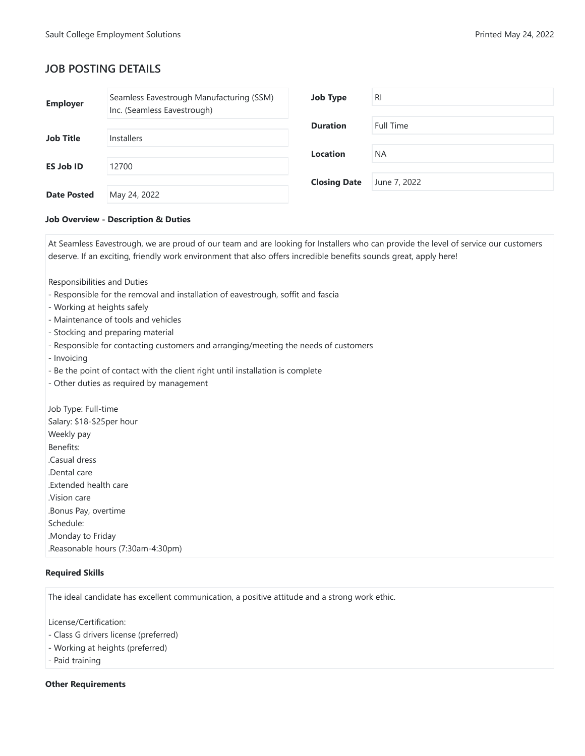# **JOB POSTING DETAILS**

| <b>Employer</b>    | Seamless Eavestrough Manufacturing (SSM)<br>Inc. (Seamless Eavestrough) | <b>Job Type</b>     | <b>RI</b>    |
|--------------------|-------------------------------------------------------------------------|---------------------|--------------|
|                    |                                                                         | <b>Duration</b>     | Full Time    |
| <b>Job Title</b>   | <b>Installers</b>                                                       |                     |              |
|                    |                                                                         | <b>Location</b>     | <b>NA</b>    |
| <b>ES Job ID</b>   | 12700                                                                   |                     |              |
|                    |                                                                         | <b>Closing Date</b> | June 7, 2022 |
| <b>Date Posted</b> | May 24, 2022                                                            |                     |              |

## **Job Overview - Description & Duties**

At Seamless Eavestrough, we are proud of our team and are looking for Installers who can provide the level of service our customers deserve. If an exciting, friendly work environment that also offers incredible benefits sounds great, apply here!

Responsibilities and Duties

- Responsible for the removal and installation of eavestrough, soffit and fascia
- Working at heights safely
- Maintenance of tools and vehicles
- Stocking and preparing material
- Responsible for contacting customers and arranging/meeting the needs of customers
- Invoicing
- Be the point of contact with the client right until installation is complete
- Other duties as required by management

Job Type: Full-time Salary: \$18-\$25per hour Weekly pay Benefits: .Casual dress .Dental care .Extended health care .Vision care .Bonus Pay, overtime Schedule: .Monday to Friday .Reasonable hours (7:30am-4:30pm)

#### **Required Skills**

The ideal candidate has excellent communication, a positive attitude and a strong work ethic.

License/Certification:

- Class G drivers license (preferred)
- Working at heights (preferred)
- Paid training

#### **Other Requirements**